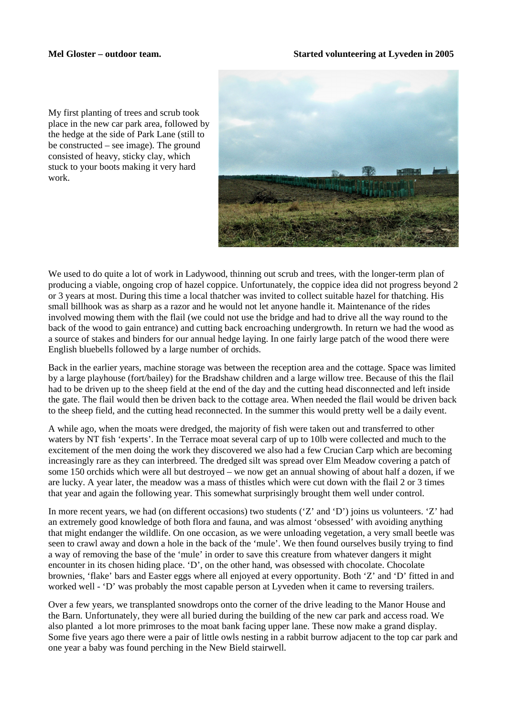My first planting of trees and scrub took place in the new car park area, followed by the hedge at the side of Park Lane (still to be constructed – see image). The ground consisted of heavy, sticky clay, which stuck to your boots making it very hard work.



We used to do quite a lot of work in Ladywood, thinning out scrub and trees, with the longer-term plan of producing a viable, ongoing crop of hazel coppice. Unfortunately, the coppice idea did not progress beyond 2 or 3 years at most. During this time a local thatcher was invited to collect suitable hazel for thatching. His small billhook was as sharp as a razor and he would not let anyone handle it. Maintenance of the rides involved mowing them with the flail (we could not use the bridge and had to drive all the way round to the back of the wood to gain entrance) and cutting back encroaching undergrowth. In return we had the wood as a source of stakes and binders for our annual hedge laying. In one fairly large patch of the wood there were English bluebells followed by a large number of orchids.

Back in the earlier years, machine storage was between the reception area and the cottage. Space was limited by a large playhouse (fort/bailey) for the Bradshaw children and a large willow tree. Because of this the flail had to be driven up to the sheep field at the end of the day and the cutting head disconnected and left inside the gate. The flail would then be driven back to the cottage area. When needed the flail would be driven back to the sheep field, and the cutting head reconnected. In the summer this would pretty well be a daily event.

A while ago, when the moats were dredged, the majority of fish were taken out and transferred to other waters by NT fish 'experts'. In the Terrace moat several carp of up to 10lb were collected and much to the excitement of the men doing the work they discovered we also had a few Crucian Carp which are becoming increasingly rare as they can interbreed. The dredged silt was spread over Elm Meadow covering a patch of some 150 orchids which were all but destroyed – we now get an annual showing of about half a dozen, if we are lucky. A year later, the meadow was a mass of thistles which were cut down with the flail 2 or 3 times that year and again the following year. This somewhat surprisingly brought them well under control.

In more recent years, we had (on different occasions) two students ('Z' and 'D') joins us volunteers. 'Z' had an extremely good knowledge of both flora and fauna, and was almost 'obsessed' with avoiding anything that might endanger the wildlife. On one occasion, as we were unloading vegetation, a very small beetle was seen to crawl away and down a hole in the back of the 'mule'. We then found ourselves busily trying to find a way of removing the base of the 'mule' in order to save this creature from whatever dangers it might encounter in its chosen hiding place. 'D', on the other hand, was obsessed with chocolate. Chocolate brownies, 'flake' bars and Easter eggs where all enjoyed at every opportunity. Both 'Z' and 'D' fitted in and worked well - 'D' was probably the most capable person at Lyveden when it came to reversing trailers.

Over a few years, we transplanted snowdrops onto the corner of the drive leading to the Manor House and the Barn. Unfortunately, they were all buried during the building of the new car park and access road. We also planted a lot more primroses to the moat bank facing upper lane. These now make a grand display. Some five years ago there were a pair of little owls nesting in a rabbit burrow adjacent to the top car park and one year a baby was found perching in the New Bield stairwell.